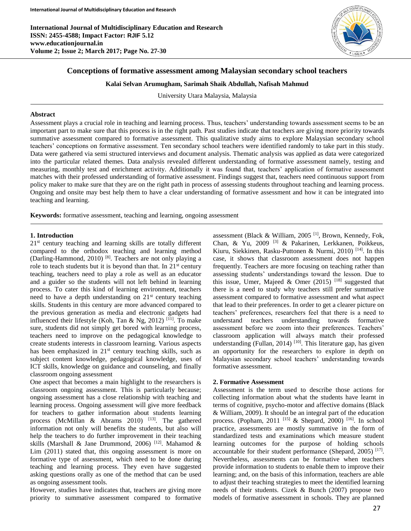

# **Conceptions of formative assessment among Malaysian secondary school teachers**

#### **Kalai Selvan Arumugham, Sarimah Shaik Abdullah, Nafisah Mahmud**

University Utara Malaysia, Malaysia

### **Abstract**

Assessment plays a crucial role in teaching and learning process. Thus, teachers' understanding towards assessment seems to be an important part to make sure that this process is in the right path. Past studies indicate that teachers are giving more priority towards summative assessment compared to formative assessment. This qualitative study aims to explore Malaysian secondary school teachers' conceptions on formative assessment. Ten secondary school teachers were identified randomly to take part in this study. Data were gathered via semi structured interviews and document analysis. Thematic analysis was applied as data were categorized into the particular related themes. Data analysis revealed different understanding of formative assessment namely, testing and measuring, monthly test and enrichment activity. Additionally it was found that, teachers' application of formative assessment matches with their professed understanding of formative assessment. Findings suggest that, teachers need continuous support from policy maker to make sure that they are on the right path in process of assessing students throughout teaching and learning process. Ongoing and onsite may best help them to have a clear understanding of formative assessment and how it can be integrated into teaching and learning.

**Keywords:** formative assessment, teaching and learning, ongoing assessment

## **1. Introduction**

21<sup>st</sup> century teaching and learning skills are totally different compared to the orthodox teaching and learning method (Darling-Hammond, 2010) [8]. Teachers are not only playing a role to teach students but it is beyond than that. In  $21<sup>st</sup>$  century teaching, teachers need to play a role as well as an educator and a guider so the students will not left behind in learning process. To cater this kind of learning environment, teachers need to have a depth understanding on  $21<sup>st</sup>$  century teaching skills. Students in this century are more advanced compared to the previous generation as media and electronic gadgets had influenced their lifestyle (Koh, Tan & Ng, 2012)<sup>[11]</sup>. To make sure, students did not simply get bored with learning process, teachers need to improve on the pedagogical knowledge to create students interests in classroom learning. Various aspects has been emphasized in  $21<sup>st</sup>$  century teaching skills, such as subject content knowledge, pedagogical knowledge, uses of ICT skills, knowledge on guidance and counseling, and finally classroom ongoing assessment

One aspect that becomes a main highlight to the researchers is classroom ongoing assessment. This is particularly because; ongoing assessment has a close relationship with teaching and learning process. Ongoing assessment will give more feedback for teachers to gather information about students learning process (McMillan & Abrams 2010)  $^{[13]}$ . The gathered information not only will benefits the students, but also will help the teachers to do further improvement in their teaching skills (Marshall & Jane Drummond, 2006)<sup>[12]</sup>. Mahamod & Lim (2011) stated that, this ongoing assessment is more on formative type of assessment, which need to be done during teaching and learning process. They even have suggested asking questions orally as one of the method that can be used as ongoing assessment tools.

However, studies have indicates that, teachers are giving more priority to summative assessment compared to formative

assessment (Black & William, 2005<sup>[1]</sup>, Brown, Kennedy, Fok, Chan, & Yu, 2009 [3] & Pakarinen, Lerkkanen, Poikkeus, Kiuru, Siekkinen, Rasku-Puttonen & Nurmi, 2010) [14] . In this case, it shows that classroom assessment does not happen frequently. Teachers are more focusing on teaching rather than assessing students' understandings toward the lesson. Due to this issue, Umer, Majeed & Omer  $(2015)$  <sup>[18]</sup> suggested that there is a need to study why teachers still prefer summative assessment compared to formative assessment and what aspect that lead to their preferences. In order to get a clearer picture on teachers' preferences, researchers feel that there is a need to understand teachers understanding towards formative assessment before we zoom into their preferences. Teachers' classroom application will always match their professed understanding (Fullan, 2014)<sup>[10]</sup>. This literature gap, has given an opportunity for the researchers to explore in depth on Malaysian secondary school teachers' understanding towards formative assessment.

## **2. Formative Assessment**

Assessment is the term used to describe those actions for collecting information about what the students have learnt in terms of cognitive, psycho-motor and affective domains (Black & William, 2009). It should be an integral part of the education process. (Popham, 2011<sup>[15]</sup> & Shepard, 2000)<sup>[16]</sup>. In school practice, assessments are mostly summative in the form of standardized tests and examinations which measure student learning outcomes for the purpose of holding schools accountable for their student performance (Shepard, 2005)<sup>[17]</sup>. Nevertheless, assessments can be formative when teachers provide information to students to enable them to improve their learning; and, on the basis of this information, teachers are able to adjust their teaching strategies to meet the identified learning needs of their students. Cizek & Bunch (2007) propose two models of formative assessment in schools. They are planned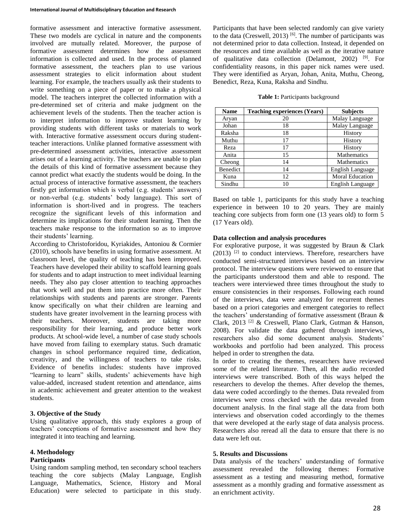formative assessment and interactive formative assessment. These two models are cyclical in nature and the components involved are mutually related. Moreover, the purpose of formative assessment determines how the assessment information is collected and used. In the process of planned formative assessment, the teachers plan to use various assessment strategies to elicit information about student learning. For example, the teachers usually ask their students to write something on a piece of paper or to make a physical model. The teachers interpret the collected information with a pre-determined set of criteria and make judgment on the achievement levels of the students. Then the teacher action is to interpret information to improve student learning by providing students with different tasks or materials to work with. Interactive formative assessment occurs during studentteacher interactions. Unlike planned formative assessment with pre-determined assessment activities, interactive assessment arises out of a learning activity. The teachers are unable to plan the details of this kind of formative assessment because they cannot predict what exactly the students would be doing. In the actual process of interactive formative assessment, the teachers firstly get information which is verbal (e.g. students' answers) or non-verbal (e.g. students' body language). This sort of information is short-lived and in progress. The teachers recognize the significant levels of this information and determine its implications for their student learning. Then the teachers make response to the information so as to improve their students' learning.

According to Christoforidou, Kyriakides, Antoniou & Cormier (2010), schools have benefits in using formative assessment. At classroom level, the quality of teaching has been improved. Teachers have developed their ability to scaffold learning goals for students and to adapt instruction to meet individual learning needs. They also pay closer attention to teaching approaches that work well and put them into practice more often. Their relationships with students and parents are stronger. Parents know specifically on what their children are learning and students have greater involvement in the learning process with their teachers. Moreover, students are taking more responsibility for their learning, and produce better work products. At school-wide level, a number of case study schools have moved from failing to exemplary status. Such dramatic changes in school performance required time, dedication, creativity, and the willingness of teachers to take risks. Evidence of benefits includes: students have improved "learning to learn" skills, students' achievements have high value-added, increased student retention and attendance, aims in academic achievement and greater attention to the weakest students.

# **3. Objective of the Study**

Using qualitative approach, this study explores a group of teachers' conceptions of formative assessment and how they integrated it into teaching and learning.

## **4. Methodology**

#### **Participants**

Using random sampling method, ten secondary school teachers teaching the core subjects (Malay Language, English Language, Mathematics, Science, History and Moral Education) were selected to participate in this study.

Participants that have been selected randomly can give variety to the data (Creswell, 2013)<sup>[6]</sup>. The number of participants was not determined prior to data collection. Instead, it depended on the resources and time available as well as the iterative nature of qualitative data collection (Delamont, 2002)<sup>[9]</sup>. For confidentiality reasons, in this paper nick names were used. They were identified as Aryan, Johan, Anita, Muthu, Cheong, Benedict, Reza, Kuna, Raksha and Sindhu.

**Table 1:** Participants background

| <b>Name</b> | <b>Teaching experiences (Years)</b> | <b>Subjects</b>        |
|-------------|-------------------------------------|------------------------|
| Aryan       | 20                                  | Malay Language         |
| Johan       | 18                                  | Malay Language         |
| Raksha      | 18                                  | History                |
| Muthu       | 17                                  | History                |
| Reza        | 17                                  | History                |
| Anita       | 15                                  | Mathematics            |
| Cheong      | 14                                  | Mathematics            |
| Benedict    | 14                                  | English Language       |
| Kuna        | 12                                  | <b>Moral Education</b> |
| Sindhu      | 10                                  | English Language       |

Based on table 1, participants for this study have a teaching experience in between 10 to 20 years. They are mainly teaching core subjects from form one (13 years old) to form 5 (17 Years old).

## **Data collection and analysis procedures**

For explorative purpose, it was suggested by Braun & Clark  $(2013)$ <sup>[2]</sup> to conduct interviews. Therefore, researchers have conducted semi-structured interviews based on an interview protocol. The interview questions were reviewed to ensure that the participants understood them and able to respond. The teachers were interviewed three times throughout the study to ensure consistencies in their responses. Following each round of the interviews, data were analyzed for recurrent themes based on a priori categories and emergent categories to reflect the teachers' understanding of formative assessment (Braun & Clark, 2013 [2] & Creswell, Plano Clark, Gutman & Hanson, 2008). For validate the data gathered through interviews, researchers also did some document analysis. Students' workbooks and portfolio had been analyzed. This process helped in order to strengthen the data.

In order to creating the themes, researchers have reviewed some of the related literature. Then, all the audio recorded interviews were transcribed. Both of this ways helped the researchers to develop the themes. After develop the themes, data were coded accordingly to the themes. Data revealed from interviews were cross checked with the data revealed from document analysis. In the final stage all the data from both interviews and observation coded accordingly to the themes that were developed at the early stage of data analysis process. Researchers also reread all the data to ensure that there is no data were left out.

# **5. Results and Discussions**

Data analysis of the teachers' understanding of formative assessment revealed the following themes: Formative assessment as a testing and measuring method, formative assessment as a monthly grading and formative assessment as an enrichment activity.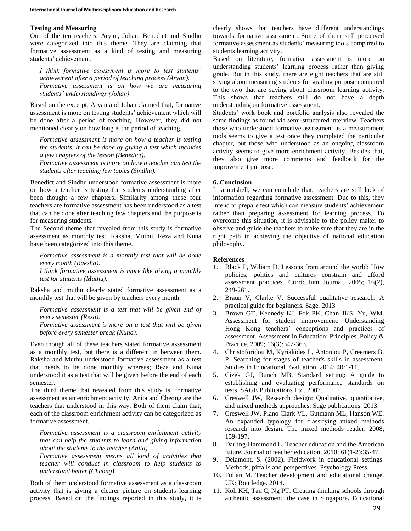#### **Testing and Measuring**

Out of the ten teachers, Aryan, Johan, Benedict and Sindhu were categorized into this theme. They are claiming that formative assessment as a kind of testing and measuring students' achievement.

*I think formative assessment is more to test students' achievement after a period of teaching process (Aryan). Formative assessment is on how we are measuring students' understandings (Johan).*

Based on the excerpt, Aryan and Johan claimed that, formative assessment is more on testing students' achievement which will be done after a period of teaching. However, they did not mentioned clearly on how long is the period of teaching.

*Formative assessment is more on how a teacher is testing the students. It can be done by giving a test which includes a few chapters of the lesson (Benedict).*

*Formative assessment is more on how a teacher can test the students after teaching few topics (Sindhu).*

Benedict and Sindhu understood formative assessment is more on how a teacher is testing the students understanding after been thought a few chapters. Similarity among these four teachers are formative assessment has been understood as a test that can be done after teaching few chapters and the purpose is for measuring students.

The Second theme that revealed from this study is formative assessment as monthly test. Raksha, Muthu, Reza and Kuna have been categorized into this theme.

*Formative assessment is a monthly test that will be done every month (Raksha).*

*I think formative assessment is more like giving a monthly test for students (Muthu).*

Raksha and muthu clearly stated formative assessment as a monthly test that will be given by teachers every month.

Formative assessment is a test that will be given end of *every semester (Reza).*

*Formative assessment is more on a test that will be given before every semester break (Kuna).*

Even though all of these teachers stated formative assessment as a monthly test, but there is a different in between them. Raksha and Muthu understood formative assessment as a test that needs to be done monthly whereas; Reza and Kuna understood it as a test that will be given before the end of each semester.

The third theme that revealed from this study is, formative assessment as an enrichment activity. Anita and Cheong are the teachers that understood in this way. Both of them claim that, each of the classroom enrichment activity can be categorized as formative assessment.

*Formative assessment is a classroom enrichment activity that can help the students to learn and giving information about the students to the teacher (Anita)*

*Formative assessment means all kind of activities that teacher will conduct in classroom to help students to understand better (Cheong).*

Both of them understood formative assessment as a classroom activity that is giving a clearer picture on students learning process. Based on the findings reported in this study, it is clearly shows that teachers have different understandings towards formative assessment. Some of them still perceived formative assessment as students' measuring tools compared to students learning activity.

Based on literature, formative assessment is more on understanding students' learning process rather than giving grade. But in this study, there are eight teachers that are still saying about measuring students for grading purpose compared to the two that are saying about classroom learning activity. This shows that teachers still do not have a depth understanding on formative assessment.

Students' work book and portfolio analysis also revealed the same findings as found via semi-structured interview. Teachers those who understood formative assessment as a measurement tools seems to give a test once they completed the particular chapter, but those who understood as an ongoing classroom activity seems to give more enrichment activity. Besides that, they also give more comments and feedback for the improvement purpose.

### **6. Conclusion**

In a nutshell, we can conclude that, teachers are still lack of information regarding formative assessment. Due to this, they intend to prepare test which can measure students' achievement rather than preparing assessment for learning process. To overcome this situation, it is advisable to the policy maker to observe and guide the teachers to make sure that they are in the right path in achieving the objective of national education philosophy.

### **References**

- 1. Black P, Wiliam D. Lessons from around the world: How policies, politics and cultures constrain and afford assessment practices. Curriculum Journal, 2005; 16(2), 249-261.
- 2. Braun V, Clarke V. Successful qualitative research: A practical guide for beginners. Sage. 2013
- 3. Brown GT, Kennedy KJ, Fok PK, Chan JKS, Yu, WM. Assessment for student improvement: Understanding Hong Kong teachers' conceptions and practices of assessment. Assessment in Education: Principles, Policy & Practice. 2009; 16(3):347-363.
- 4. Christoforidou M, Kyriakides L, Antoniou P, Creemers B, P. Searching for stages of teacher's skills in assessment. Studies in Educational Evaluation. 2014; 40:1-11.
- 5. Cizek GJ, Bunch MB. Standard setting: A guide to establishing and evaluating performance standards on tests. SAGE Publications Ltd. 2007.
- 6. Creswell JW, Research design: Qualitative, quantitative, and mixed methods approaches. Sage publications. 2013.
- 7. Creswell JW, Plano Clark VL, Gutmann ML, Hanson WE. An expanded typology for classifying mixed methods research into design. The mixed methods reader, 2008; 159-197.
- 8. Darling-Hammond L. Teacher education and the American future. Journal of teacher education, 2010; 61(1-2):35-47.
- 9. Delamont, S. (2002). Fieldwork in educational settings: Methods, pitfalls and perspectives. Psychology Press.
- 10. Fullan M. Teacher development and educational change. UK: Routledge. 2014.
- 11. Koh KH, Tan C, Ng PT. Creating thinking schools through authentic assessment: the case in Singapore. Educational